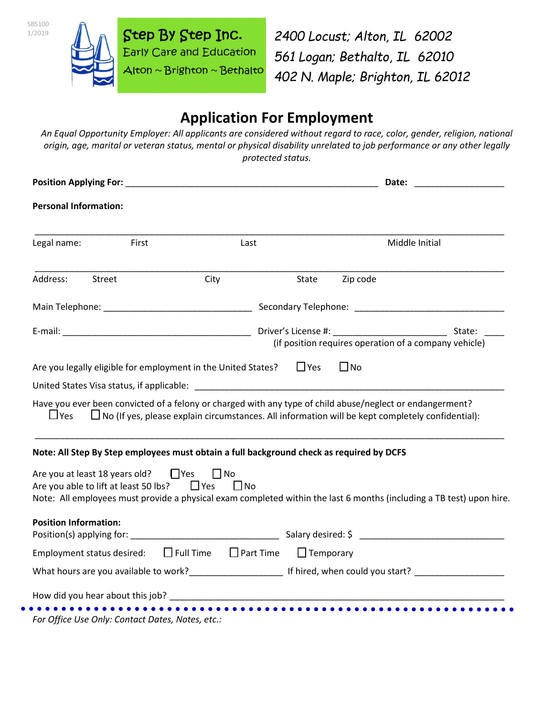

SBS100 1/2019

*2400 Locust; Alton, IL 62002 561 Logan; Bethalto, IL 62010 402 N. Maple; Brighton, IL 62012*

# **Application For Employment**

*An Equal Opportunity Employer: All applicants are considered without regard to race, color, gender, religion, national origin, age, marital or veteran status, mental or physical disability unrelated to job performance or any other legally protected status.*

| <b>Position Applying For:</b>                                                                                                                                                                                                  |               |                                      |                  |                | Date:                                                                                                                |  |
|--------------------------------------------------------------------------------------------------------------------------------------------------------------------------------------------------------------------------------|---------------|--------------------------------------|------------------|----------------|----------------------------------------------------------------------------------------------------------------------|--|
| <b>Personal Information:</b>                                                                                                                                                                                                   |               |                                      |                  |                |                                                                                                                      |  |
| Legal name:                                                                                                                                                                                                                    | First<br>Last |                                      |                  | Middle Initial |                                                                                                                      |  |
| Address:<br>Street                                                                                                                                                                                                             |               | City                                 | State            | Zip code       |                                                                                                                      |  |
|                                                                                                                                                                                                                                |               |                                      |                  |                |                                                                                                                      |  |
|                                                                                                                                                                                                                                |               |                                      |                  |                | State:<br>(if position requires operation of a company vehicle)                                                      |  |
| Are you legally eligible for employment in the United States?                                                                                                                                                                  |               |                                      | $\Box$ Yes       | $\Box$ No      |                                                                                                                      |  |
|                                                                                                                                                                                                                                |               |                                      |                  |                |                                                                                                                      |  |
| Have you ever been convicted of a felony or charged with any type of child abuse/neglect or endangerment?<br>$\sqcup$ Yes                                                                                                      |               |                                      |                  |                | $\Box$ No (If yes, please explain circumstances. All information will be kept completely confidential):              |  |
| Note: All Step By Step employees must obtain a full background check as required by DCFS                                                                                                                                       |               |                                      |                  |                |                                                                                                                      |  |
| Are you at least 18 years old? $\Box$ Yes<br>Are you able to lift at least 50 lbs?                                                                                                                                             |               | $\Box$ No<br>$\Box$ Yes<br>$\Box$ No |                  |                | Note: All employees must provide a physical exam completed within the last 6 months (including a TB test) upon hire. |  |
| <b>Position Information:</b>                                                                                                                                                                                                   |               |                                      |                  |                |                                                                                                                      |  |
|                                                                                                                                                                                                                                |               |                                      |                  |                |                                                                                                                      |  |
| Employment status desired:                                                                                                                                                                                                     |               | $\Box$ Full Time $\Box$ Part Time    | $\Box$ Temporary |                |                                                                                                                      |  |
|                                                                                                                                                                                                                                |               |                                      |                  |                |                                                                                                                      |  |
| How did you hear about this job? Notified that the same state of the state of the state of the state of the state of the state of the state of the state of the state of the state of the state of the state of the state of t |               |                                      |                  |                |                                                                                                                      |  |
|                                                                                                                                                                                                                                |               |                                      |                  |                |                                                                                                                      |  |

*For Office Use Only: Contact Dates, Notes, etc.:*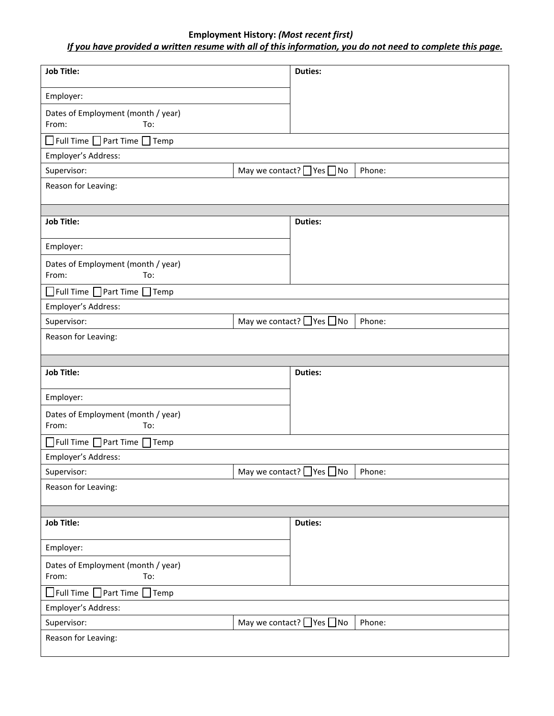## **Employment History:** *(Most recent first)*

# *If you have provided a written resume with all of this information, you do not need to complete this page.*

| <b>Job Title:</b>                                  | <b>Duties:</b>                                 |  |  |  |  |  |
|----------------------------------------------------|------------------------------------------------|--|--|--|--|--|
| Employer:                                          |                                                |  |  |  |  |  |
| Dates of Employment (month / year)<br>From:<br>To: |                                                |  |  |  |  |  |
| $\Box$ Full Time $\Box$ Part Time $\Box$ Temp      |                                                |  |  |  |  |  |
| Employer's Address:                                |                                                |  |  |  |  |  |
| Supervisor:                                        | May we contact? Ves no<br>Phone:               |  |  |  |  |  |
| Reason for Leaving:                                |                                                |  |  |  |  |  |
|                                                    |                                                |  |  |  |  |  |
| <b>Job Title:</b>                                  | <b>Duties:</b>                                 |  |  |  |  |  |
| Employer:                                          |                                                |  |  |  |  |  |
| Dates of Employment (month / year)<br>To:<br>From: |                                                |  |  |  |  |  |
| $\Box$ Full Time $\Box$ Part Time $\Box$ Temp      |                                                |  |  |  |  |  |
| Employer's Address:                                |                                                |  |  |  |  |  |
| Supervisor:                                        | May we contact? Ves ONo<br>Phone:              |  |  |  |  |  |
| Reason for Leaving:                                |                                                |  |  |  |  |  |
|                                                    |                                                |  |  |  |  |  |
| <b>Job Title:</b>                                  | <b>Duties:</b>                                 |  |  |  |  |  |
| Employer:                                          |                                                |  |  |  |  |  |
| Dates of Employment (month / year)<br>From:<br>To: |                                                |  |  |  |  |  |
| $\Box$ Full Time $\Box$ Part Time $\Box$ Temp      |                                                |  |  |  |  |  |
| Employer's Address:                                |                                                |  |  |  |  |  |
| Supervisor:                                        | May we contact? $\Box$ Yes $\Box$ No<br>Phone: |  |  |  |  |  |
| Reason for Leaving:                                |                                                |  |  |  |  |  |
|                                                    |                                                |  |  |  |  |  |
| <b>Job Title:</b>                                  | <b>Duties:</b>                                 |  |  |  |  |  |
| Employer:                                          |                                                |  |  |  |  |  |
| Dates of Employment (month / year)<br>From:<br>To: |                                                |  |  |  |  |  |
| $\Box$ Full Time $\Box$ Part Time $\Box$ Temp      |                                                |  |  |  |  |  |
| Employer's Address:                                |                                                |  |  |  |  |  |
| Supervisor:                                        | May we contact? $\Box$ Yes $\Box$ No<br>Phone: |  |  |  |  |  |
| Reason for Leaving:                                |                                                |  |  |  |  |  |